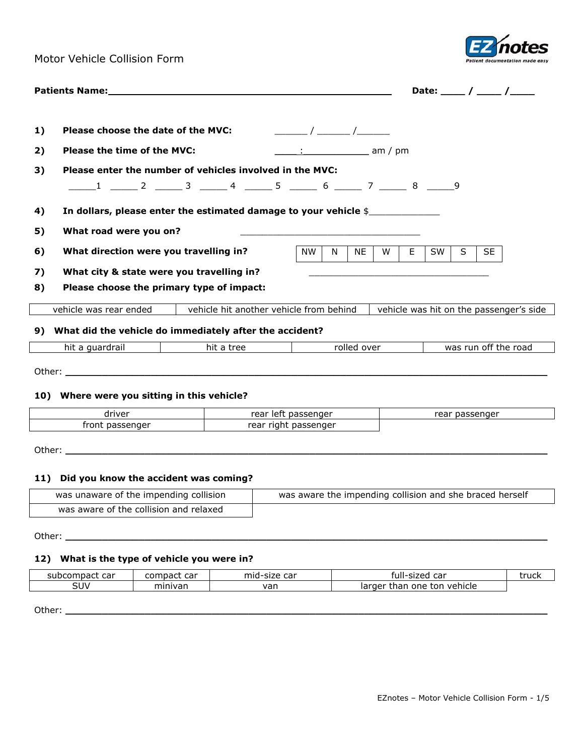Motor Vehicle Collision Form



|    | Patients Name: with a state of the contract of the contract of the contract of the contract of the contract of |                                                                             |                       |    |             |          |    |           |    |           | Date: $\frac{1}{\sqrt{2}}$              |
|----|----------------------------------------------------------------------------------------------------------------|-----------------------------------------------------------------------------|-----------------------|----|-------------|----------|----|-----------|----|-----------|-----------------------------------------|
|    |                                                                                                                |                                                                             |                       |    |             |          |    |           |    |           |                                         |
| 1) | Please choose the date of the MVC:                                                                             |                                                                             | $\sqrt{2}$            |    |             |          |    |           |    |           |                                         |
| 2) | Please the time of the MVC:                                                                                    |                                                                             | $\frac{1}{2}$ am / pm |    |             |          |    |           |    |           |                                         |
| 3) |                                                                                                                | Please enter the number of vehicles involved in the MVC:                    |                       |    |             |          |    |           |    |           |                                         |
|    |                                                                                                                | ______1 _______2 _______3 ______4 ______5 ______ 6 ______ 7 ______ 8 _____9 |                       |    |             |          |    |           |    |           |                                         |
| 4) |                                                                                                                | In dollars, please enter the estimated damage to your vehicle \$            |                       |    |             |          |    |           |    |           |                                         |
| 5) | What road were you on?                                                                                         |                                                                             |                       |    |             |          |    |           |    |           |                                         |
| 6) | What direction were you travelling in?                                                                         |                                                                             | <b>NW</b>             | N. | <b>NE</b>   | <b>W</b> | E. | <b>SW</b> | S. | <b>SE</b> |                                         |
| 7) | What city & state were you travelling in?                                                                      |                                                                             |                       |    |             |          |    |           |    |           |                                         |
| 8) | Please choose the primary type of impact:                                                                      |                                                                             |                       |    |             |          |    |           |    |           |                                         |
|    | vehicle was rear ended                                                                                         | vehicle hit another vehicle from behind                                     |                       |    |             |          |    |           |    |           | vehicle was hit on the passenger's side |
| 9) | What did the vehicle do immediately after the accident?                                                        |                                                                             |                       |    |             |          |    |           |    |           |                                         |
|    | hit a guardrail                                                                                                | hit a tree                                                                  |                       |    | rolled over |          |    |           |    |           | was run off the road                    |
|    |                                                                                                                |                                                                             |                       |    |             |          |    |           |    |           |                                         |

# **10) Where were you sitting in this vehicle?**

| driver                                               | rear<br>ssenaer<br>іет<br><u>ua:</u><br>$-1$ | ssenaer<br>.<br>ea<br>UC. |
|------------------------------------------------------|----------------------------------------------|---------------------------|
| ----<br>$\sim$ $\sim$ $\sim$<br>---<br>ront<br>س د ، | nassenger<br>rear ri<br>ria<br>.u<br>ື       |                           |

Other: **\_\_\_\_\_\_\_\_\_\_\_\_\_\_\_\_\_\_\_\_\_\_\_\_\_\_\_\_\_\_\_\_\_\_\_\_\_\_\_\_\_\_\_\_\_\_\_\_\_\_\_\_\_\_\_\_\_\_\_\_\_\_\_\_\_\_\_\_\_\_\_\_\_\_\_\_\_\_\_**

# **11) Did you know the accident was coming?**

| was unaware of the impending collision | was aware the impending collision and she braced herself |
|----------------------------------------|----------------------------------------------------------|
| was aware of the collision and relaxed |                                                          |

Other: **\_\_\_\_\_\_\_\_\_\_\_\_\_\_\_\_\_\_\_\_\_\_\_\_\_\_\_\_\_\_\_\_\_\_\_\_\_\_\_\_\_\_\_\_\_\_\_\_\_\_\_\_\_\_\_\_\_\_\_\_\_\_\_\_\_\_\_\_\_\_\_\_\_\_\_\_\_\_\_**

## **12) What is the type of vehicle you were in?**

| subcompact<br>$\sim$<br>'IDdCL<br>cai | $- - -$<br>compact<br>cd | mid-.<br>$\sim$<br>size<br>cai | $\sim$<br>ul.<br>sized<br>ua'           | truck |
|---------------------------------------|--------------------------|--------------------------------|-----------------------------------------|-------|
| SUV                                   | minivan                  | van                            | vehicle<br>ton<br>larger<br>than<br>one |       |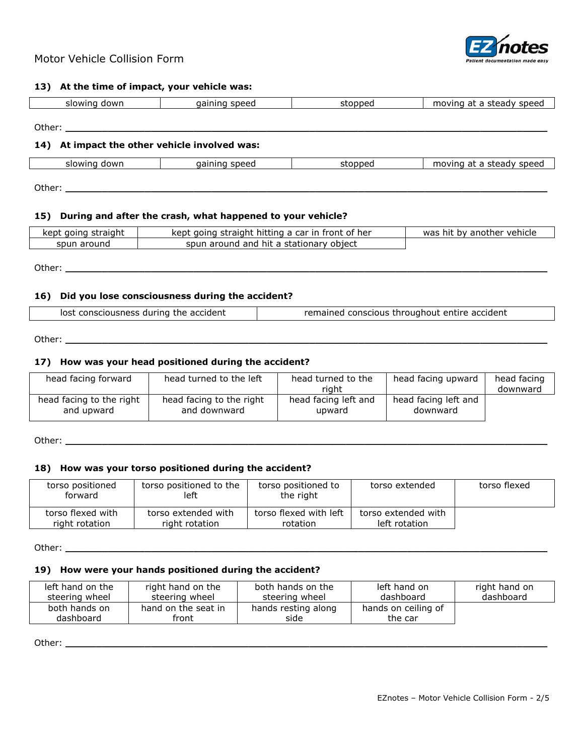

### **13) At the time of impact, your vehicle was:**

| dowr<br>slowing | sneer.<br>ш | -----<br>זר | moving<br>speeg<br>---<br>aa<br>r.<br>. <del>.</del> |
|-----------------|-------------|-------------|------------------------------------------------------|
|                 |             |             |                                                      |

# **14) At impact the other vehicle involved was:**

Other: **\_\_\_\_\_\_\_\_\_\_\_\_\_\_\_\_\_\_\_\_\_\_\_\_\_\_\_\_\_\_\_\_\_\_\_\_\_\_\_\_\_\_\_\_\_\_\_\_\_\_\_\_\_\_\_\_\_\_\_\_\_\_\_\_\_\_\_\_\_\_\_\_\_\_\_\_\_\_\_**

| down<br>slowir | gaining speed | ------<br>toppe. | speed<br>steady<br>$-+$<br>nc<br>o |
|----------------|---------------|------------------|------------------------------------|
|----------------|---------------|------------------|------------------------------------|

Other: **\_\_\_\_\_\_\_\_\_\_\_\_\_\_\_\_\_\_\_\_\_\_\_\_\_\_\_\_\_\_\_\_\_\_\_\_\_\_\_\_\_\_\_\_\_\_\_\_\_\_\_\_\_\_\_\_\_\_\_\_\_\_\_\_\_\_\_\_\_\_\_\_\_\_\_\_\_\_\_**

# **15) During and after the crash, what happened to your vehicle?**

| straight<br>kept<br>aoina | .<br>front of her<br>aoing straight hitting a car in l<br>kept | another vehicle<br><b>hit</b><br>bv<br>was |
|---------------------------|----------------------------------------------------------------|--------------------------------------------|
| around<br>spun            | stationary<br>hit a<br>object<br>and<br>around<br>spun         |                                            |

Other: **\_\_\_\_\_\_\_\_\_\_\_\_\_\_\_\_\_\_\_\_\_\_\_\_\_\_\_\_\_\_\_\_\_\_\_\_\_\_\_\_\_\_\_\_\_\_\_\_\_\_\_\_\_\_\_\_\_\_\_\_\_\_\_\_\_\_\_\_\_\_\_\_\_\_\_\_\_\_\_**

### **16) Did you lose consciousness during the accident?**

| remained conscious throughout entire accident<br>lost consciousness during the accident |  |
|-----------------------------------------------------------------------------------------|--|
|-----------------------------------------------------------------------------------------|--|

Other: <u>**with the complete of the complete of the complete of the complete of the complete of the complete of the complete of the complete of the complete of the complete of the complete of the complete of the complete of </u>** 

### **17) How was your head positioned during the accident?**

| head facing forward      | head turned to the left  | head turned to the<br>riaht | head facing upward   | head facing<br>downward |
|--------------------------|--------------------------|-----------------------------|----------------------|-------------------------|
| head facing to the right | head facing to the right | head facing left and        | head facing left and |                         |
| and upward               | and downward             | upward                      | downward             |                         |

Other: **\_\_\_\_\_\_\_\_\_\_\_\_\_\_\_\_\_\_\_\_\_\_\_\_\_\_\_\_\_\_\_\_\_\_\_\_\_\_\_\_\_\_\_\_\_\_\_\_\_\_\_\_\_\_\_\_\_\_\_\_\_\_\_\_\_\_\_\_\_\_\_\_\_\_\_\_\_\_\_**

## **18) How was your torso positioned during the accident?**

| torso positioned<br>forward | torso positioned to the<br>left | torso positioned to<br>the right | torso extended      | torso flexed |
|-----------------------------|---------------------------------|----------------------------------|---------------------|--------------|
| torso flexed with           | torso extended with             | torso flexed with left           | torso extended with |              |
| right rotation              | right rotation                  | rotation                         | left rotation       |              |

Other: <u>**with the complete of the complete of the complete of the complete of the complete of the complete of the complete of the complete of the complete of the complete of the complete of the complete of the complete of </u>** 

#### **19) How were your hands positioned during the accident?**

| left hand on the | right hand on the   | both hands on the   | left hand on        | right hand on |
|------------------|---------------------|---------------------|---------------------|---------------|
| steering wheel   | steering wheel      | steering wheel      | dashboard           | dashboard     |
| both hands on    | hand on the seat in | hands resting along | hands on ceiling of |               |
| dashboard        | front               | side                | the car             |               |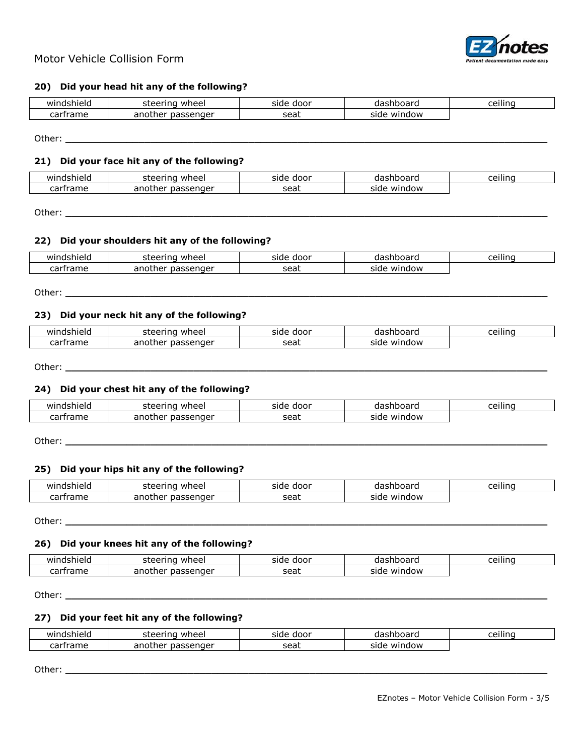

## **20) Did your head hit any of the following?**

| `shielu<br>win<br>.nasr             | wheel<br>пc          | door<br>side | - - - - - -<br>mnoaru<br>- 1 | ا ہے م<br>ıno<br>⊂⊑⊞. |
|-------------------------------------|----------------------|--------------|------------------------------|-----------------------|
| <b>---</b><br>rrame<br>$\mathbf{a}$ | passenger<br>another | seat         | window<br>side               |                       |

Other: **\_\_\_\_\_\_\_\_\_\_\_\_\_\_\_\_\_\_\_\_\_\_\_\_\_\_\_\_\_\_\_\_\_\_\_\_\_\_\_\_\_\_\_\_\_\_\_\_\_\_\_\_\_\_\_\_\_\_\_\_\_\_\_\_\_\_\_\_\_\_\_\_\_\_\_\_\_\_\_**

#### **21) Did your face hit any of the following?**

| MË                      | wheel<br>r÷.<br>مصد<br>'nc  | door<br>side | $-$<br>…∪Uaru<br>ua | .<br>coi.<br>ınc<br>ᄕ |
|-------------------------|-----------------------------|--------------|---------------------|-----------------------|
| ---<br><br>чань.<br>.aı | another<br>issenger<br>من ر | seat         | window<br>side      |                       |

Other: **\_\_\_\_\_\_\_\_\_\_\_\_\_\_\_\_\_\_\_\_\_\_\_\_\_\_\_\_\_\_\_\_\_\_\_\_\_\_\_\_\_\_\_\_\_\_\_\_\_\_\_\_\_\_\_\_\_\_\_\_\_\_\_\_\_\_\_\_\_\_\_\_\_\_\_\_\_\_\_**

### **22) Did your shoulders hit any of the following?**

| win<br>------<br>ек<br>- 11 | ---<br>neel<br>$   -$<br>эı | door<br>sido | .<br>IJа<br>.              | . .<br>ceilinc |
|-----------------------------|-----------------------------|--------------|----------------------------|----------------|
| $\sim$<br>oч.               | .<br>nnr<br>ле<br>.         | cop'<br>ししし  | ndow<br><b>MIL</b><br>sıar |                |

Other: **\_\_\_\_\_\_\_\_\_\_\_\_\_\_\_\_\_\_\_\_\_\_\_\_\_\_\_\_\_\_\_\_\_\_\_\_\_\_\_\_\_\_\_\_\_\_\_\_\_\_\_\_\_\_\_\_\_\_\_\_\_\_\_\_\_\_\_\_\_\_\_\_\_\_\_\_\_\_\_**

### **23) Did your neck hit any of the following?**

| wır<br>shield            | wheel<br>eering<br>$\sim$<br>steel | door<br>side | --------<br>snooard<br>ud | <br>$\sim$ |
|--------------------------|------------------------------------|--------------|---------------------------|------------|
| ~~~<br>rame <sup>.</sup> | another<br>passenger               | seat         | window<br>side            |            |

Other: **\_\_\_\_\_\_\_\_\_\_\_\_\_\_\_\_\_\_\_\_\_\_\_\_\_\_\_\_\_\_\_\_\_\_\_\_\_\_\_\_\_\_\_\_\_\_\_\_\_\_\_\_\_\_\_\_\_\_\_\_\_\_\_\_\_\_\_\_\_\_\_\_\_\_\_\_\_\_\_**

#### **24) Did your chest hit any of the following?**

| <b>WING</b><br>"shielu<br>пc | wheel<br>--<br>пc    | door<br>side | noaru<br>71    | . .<br>ا ا ہے م<br>ınc<br>ce II |
|------------------------------|----------------------|--------------|----------------|---------------------------------|
| ~~~<br>rame '<br>.a.         | passenger<br>anothei | seat         | window<br>side |                                 |

Other: **\_\_\_\_\_\_\_\_\_\_\_\_\_\_\_\_\_\_\_\_\_\_\_\_\_\_\_\_\_\_\_\_\_\_\_\_\_\_\_\_\_\_\_\_\_\_\_\_\_\_\_\_\_\_\_\_\_\_\_\_\_\_\_\_\_\_\_\_\_\_\_\_\_\_\_\_\_\_\_**

#### **25) Did your hips hit any of the following?**

| wind<br>$\mathbf{a}$ $\mathbf{b}$ $\mathbf{a}$<br>snieid | ino<br>wheel<br>.<br>コレコレ | door<br>side | -------<br>ה ווסטניי | .<br>∩≏i<br>$\cdots$<br>iinc |
|----------------------------------------------------------|---------------------------|--------------|----------------------|------------------------------|
| carframe                                                 | another<br>ssenaer        | sea          | window<br>siae       |                              |

Other: **\_\_\_\_\_\_\_\_\_\_\_\_\_\_\_\_\_\_\_\_\_\_\_\_\_\_\_\_\_\_\_\_\_\_\_\_\_\_\_\_\_\_\_\_\_\_\_\_\_\_\_\_\_\_\_\_\_\_\_\_\_\_\_\_\_\_\_\_\_\_\_\_\_\_\_\_\_\_\_**

#### **26) Did your knees hit any of the following?**

| windshield                   | r÷.<br>wheel<br>$\sim$ $\sim$ $\sim$ $\sim$ $\sim$<br>ा∟<br>.<br>コピ | door<br>side | 'ashboard<br>ua | <br>ا د<br><b>INC</b> |
|------------------------------|---------------------------------------------------------------------|--------------|-----------------|-----------------------|
| ~~~<br>trame<br>$\mathbf{a}$ | anothei<br>passenger                                                | c≙at<br>Juu  | window<br>side  |                       |

Other: **\_\_\_\_\_\_\_\_\_\_\_\_\_\_\_\_\_\_\_\_\_\_\_\_\_\_\_\_\_\_\_\_\_\_\_\_\_\_\_\_\_\_\_\_\_\_\_\_\_\_\_\_\_\_\_\_\_\_\_\_\_\_\_\_\_\_\_\_\_\_\_\_\_\_\_\_\_\_\_**

### **27) Did your feet hit any of the following?**

| wind<br>dshield | ` <b>≏ring w</b> .<br>wheel<br>сt<br>≏≏ | door<br>side | ,<br>boare<br>ua | ceilinc |
|-----------------|-----------------------------------------|--------------|------------------|---------|
| carframe        | passenger<br>another                    | seat         | window<br>side   |         |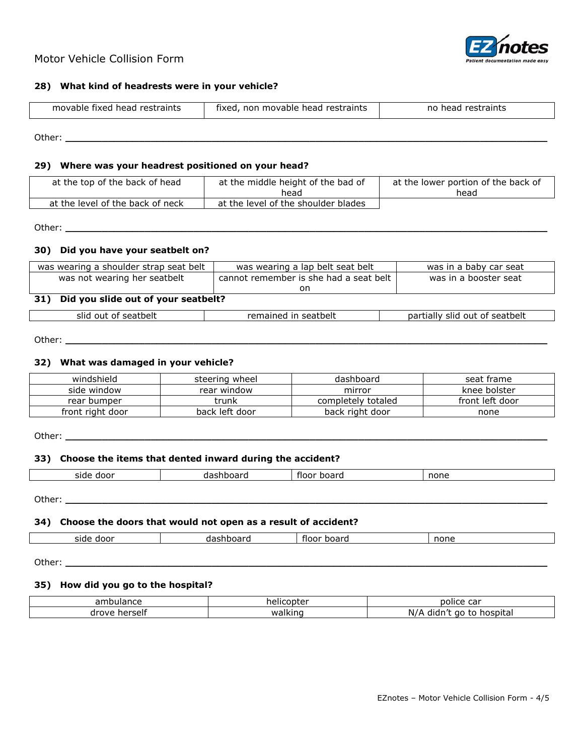

# Motor Vehicle Collision Form

## **28) What kind of headrests were in your vehicle?**

| movable fixed head restraints | restraints<br>movable head<br>fixed<br>non | restraints<br>no<br>head |
|-------------------------------|--------------------------------------------|--------------------------|
|                               |                                            |                          |

Other: **\_\_\_\_\_\_\_\_\_\_\_\_\_\_\_\_\_\_\_\_\_\_\_\_\_\_\_\_\_\_\_\_\_\_\_\_\_\_\_\_\_\_\_\_\_\_\_\_\_\_\_\_\_\_\_\_\_\_\_\_\_\_\_\_\_\_\_\_\_\_\_\_\_\_\_\_\_\_\_**

## **29) Where was your headrest positioned on your head?**

| at the top of the back of head   | at the middle height of the bad of<br>head | at the lower portion of the back of<br>head |
|----------------------------------|--------------------------------------------|---------------------------------------------|
| at the level of the back of neck | at the level of the shoulder blades        |                                             |

Other: **\_\_\_\_\_\_\_\_\_\_\_\_\_\_\_\_\_\_\_\_\_\_\_\_\_\_\_\_\_\_\_\_\_\_\_\_\_\_\_\_\_\_\_\_\_\_\_\_\_\_\_\_\_\_\_\_\_\_\_\_\_\_\_\_\_\_\_\_\_\_\_\_\_\_\_\_\_\_\_**

### **30) Did you have your seatbelt on?**

| was wearing a shoulder strap seat belt            | was wearing a lap belt seat belt       | was in a baby car seat         |  |  |  |
|---------------------------------------------------|----------------------------------------|--------------------------------|--|--|--|
| was not wearing her seatbelt                      | cannot remember is she had a seat belt | was in a booster seat          |  |  |  |
|                                                   | on                                     |                                |  |  |  |
| Did you slide out of your seatbelt?<br><b>31)</b> |                                        |                                |  |  |  |
| slid out of seatbelt                              | remained in seatbelt                   | partially slid out of seatbelt |  |  |  |

Other: **\_\_\_\_\_\_\_\_\_\_\_\_\_\_\_\_\_\_\_\_\_\_\_\_\_\_\_\_\_\_\_\_\_\_\_\_\_\_\_\_\_\_\_\_\_\_\_\_\_\_\_\_\_\_\_\_\_\_\_\_\_\_\_\_\_\_\_\_\_\_\_\_\_\_\_\_\_\_\_**

## **32) What was damaged in your vehicle?**

| windshield       | steering wheel | dashboard          | seat frame      |
|------------------|----------------|--------------------|-----------------|
| side window      | rear window    | mirror             | knee bolster    |
| rear bumper      | trunk          | completely totaled | front left door |
| front right door | back left door | back right door    | none            |

Other: **\_\_\_\_\_\_\_\_\_\_\_\_\_\_\_\_\_\_\_\_\_\_\_\_\_\_\_\_\_\_\_\_\_\_\_\_\_\_\_\_\_\_\_\_\_\_\_\_\_\_\_\_\_\_\_\_\_\_\_\_\_\_\_\_\_\_\_\_\_\_\_\_\_\_\_\_\_\_\_**

#### **33) Choose the items that dented inward during the accident?**

|  | door<br>side | .<br>. .<br>าเ<br>ш<br>. .<br>- | rioor<br>ooaro | none |
|--|--------------|---------------------------------|----------------|------|
|--|--------------|---------------------------------|----------------|------|

Other: **\_\_\_\_\_\_\_\_\_\_\_\_\_\_\_\_\_\_\_\_\_\_\_\_\_\_\_\_\_\_\_\_\_\_\_\_\_\_\_\_\_\_\_\_\_\_\_\_\_\_\_\_\_\_\_\_\_\_\_\_\_\_\_\_\_\_\_\_\_\_\_\_\_\_\_\_\_\_\_**

#### **34) Choose the doors that would not open as a result of accident?**

|  | 3.7.7<br>חרז<br>sitie |  | . | - - |
|--|-----------------------|--|---|-----|
|--|-----------------------|--|---|-----|

Other: **\_\_\_\_\_\_\_\_\_\_\_\_\_\_\_\_\_\_\_\_\_\_\_\_\_\_\_\_\_\_\_\_\_\_\_\_\_\_\_\_\_\_\_\_\_\_\_\_\_\_\_\_\_\_\_\_\_\_\_\_\_\_\_\_\_\_\_\_\_\_\_\_\_\_\_\_\_\_\_**

 $\Gamma$ 

#### **35) How did you go to the hospital?**

| 2m <sub>i</sub><br>ambulance | copter<br>helic | $\sim$<br>police<br>cd                       |
|------------------------------|-----------------|----------------------------------------------|
| herself<br>drove             | walkir<br>ınd   | hospital<br>didr.<br>aο<br>$N_{\ell}$<br>. . |